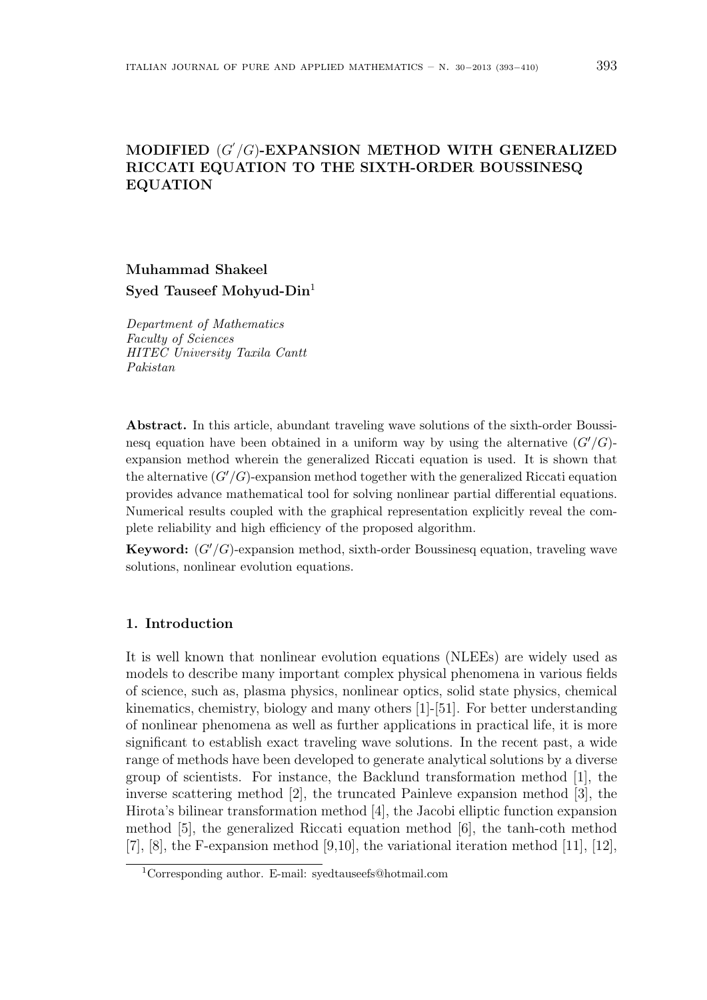## **MODIFIED** (*G ′ /G*)**-EXPANSION METHOD WITH GENERALIZED RICCATI EQUATION TO THE SIXTH-ORDER BOUSSINESQ EQUATION**

# **Muhammad Shakeel Syed Tauseef Mohyud-Din**<sup>1</sup>

*Department of Mathematics Faculty of Sciences HITEC University Taxila Cantt Pakistan*

**Abstract.** In this article, abundant traveling wave solutions of the sixth-order Boussinesq equation have been obtained in a uniform way by using the alternative  $(G'/G)$ expansion method wherein the generalized Riccati equation is used. It is shown that the alternative  $(G'/G)$ -expansion method together with the generalized Riccati equation provides advance mathematical tool for solving nonlinear partial differential equations. Numerical results coupled with the graphical representation explicitly reveal the complete reliability and high efficiency of the proposed algorithm.

**Keyword:** (*G′/G*)-expansion method, sixth-order Boussinesq equation, traveling wave solutions, nonlinear evolution equations.

#### **1. Introduction**

It is well known that nonlinear evolution equations (NLEEs) are widely used as models to describe many important complex physical phenomena in various fields of science, such as, plasma physics, nonlinear optics, solid state physics, chemical kinematics, chemistry, biology and many others [1]-[51]. For better understanding of nonlinear phenomena as well as further applications in practical life, it is more significant to establish exact traveling wave solutions. In the recent past, a wide range of methods have been developed to generate analytical solutions by a diverse group of scientists. For instance, the Backlund transformation method [1], the inverse scattering method [2], the truncated Painleve expansion method [3], the Hirota's bilinear transformation method [4], the Jacobi elliptic function expansion method [5], the generalized Riccati equation method [6], the tanh-coth method [7], [8], the F-expansion method [9,10], the variational iteration method [11], [12],

<sup>1</sup>Corresponding author. E-mail: syedtauseefs@hotmail.com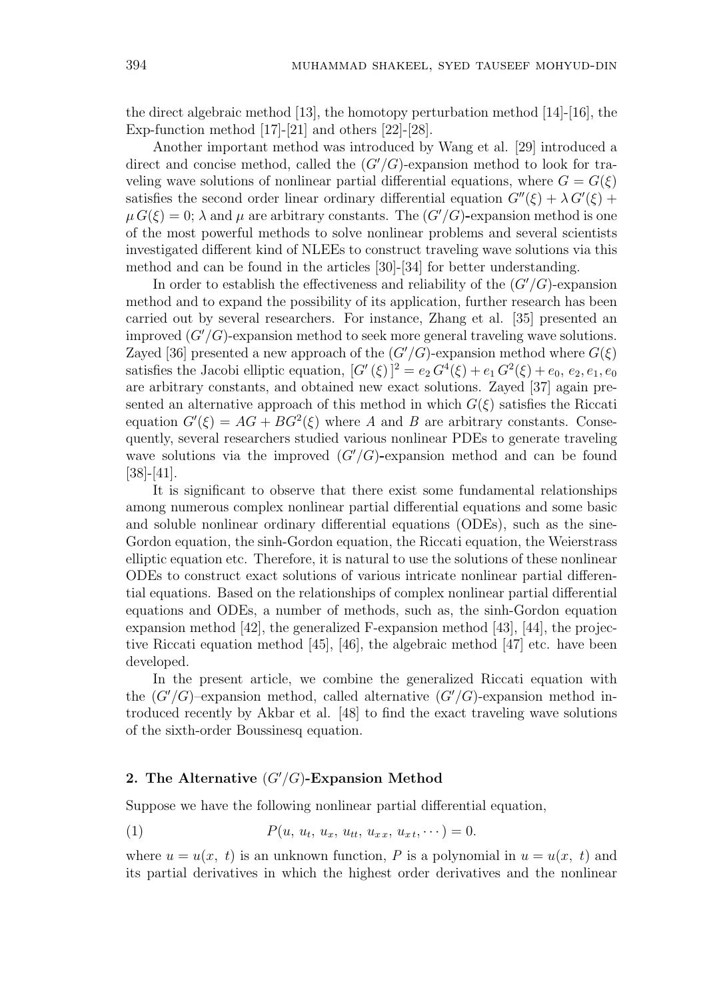the direct algebraic method [13], the homotopy perturbation method [14]-[16], the Exp-function method [17]-[21] and others [22]-[28].

Another important method was introduced by Wang et al. [29] introduced a direct and concise method, called the  $(G'/G)$ -expansion method to look for traveling wave solutions of nonlinear partial differential equations, where  $G = G(\xi)$ satisfies the second order linear ordinary differential equation  $G''(\xi) + \lambda G'(\xi)$  $\mu G(\xi) = 0$ ;  $\lambda$  and  $\mu$  are arbitrary constants. The  $(G'/G)$ -expansion method is one of the most powerful methods to solve nonlinear problems and several scientists investigated different kind of NLEEs to construct traveling wave solutions via this method and can be found in the articles [30]-[34] for better understanding.

In order to establish the effectiveness and reliability of the (*G′/G*)-expansion method and to expand the possibility of its application, further research has been carried out by several researchers. For instance, Zhang et al. [35] presented an improved  $(G'/G)$ -expansion method to seek more general traveling wave solutions. Zayed [36] presented a new approach of the  $(G'/G)$ -expansion method where  $G(\xi)$ satisfies the Jacobi elliptic equation,  $[G'(\xi)]^2 = e_2 G^4(\xi) + e_1 G^2(\xi) + e_0, e_2, e_1, e_0$ are arbitrary constants, and obtained new exact solutions. Zayed [37] again presented an alternative approach of this method in which  $G(\xi)$  satisfies the Riccati equation  $G'(\xi) = AG + BG^2(\xi)$  where *A* and *B* are arbitrary constants. Consequently, several researchers studied various nonlinear PDEs to generate traveling wave solutions via the improved  $(G'/G)$ -expansion method and can be found [38]-[41].

It is significant to observe that there exist some fundamental relationships among numerous complex nonlinear partial differential equations and some basic and soluble nonlinear ordinary differential equations (ODEs), such as the sine-Gordon equation, the sinh-Gordon equation, the Riccati equation, the Weierstrass elliptic equation etc. Therefore, it is natural to use the solutions of these nonlinear ODEs to construct exact solutions of various intricate nonlinear partial differential equations. Based on the relationships of complex nonlinear partial differential equations and ODEs, a number of methods, such as, the sinh-Gordon equation expansion method  $[42]$ , the generalized F-expansion method  $[43]$ ,  $[44]$ , the projective Riccati equation method [45], [46], the algebraic method [47] etc. have been developed.

In the present article, we combine the generalized Riccati equation with the  $(G'/G)$ –expansion method, called alternative  $(G'/G)$ –expansion method introduced recently by Akbar et al. [48] to find the exact traveling wave solutions of the sixth-order Boussinesq equation.

#### **2. The Alternative** (*G′/G*)**-Expansion Method**

Suppose we have the following nonlinear partial differential equation,

(1) 
$$
P(u, u_t, u_x, u_{tt}, u_{xx}, u_{xt}, \cdots) = 0.
$$

where  $u = u(x, t)$  is an unknown function, P is a polynomial in  $u = u(x, t)$  and its partial derivatives in which the highest order derivatives and the nonlinear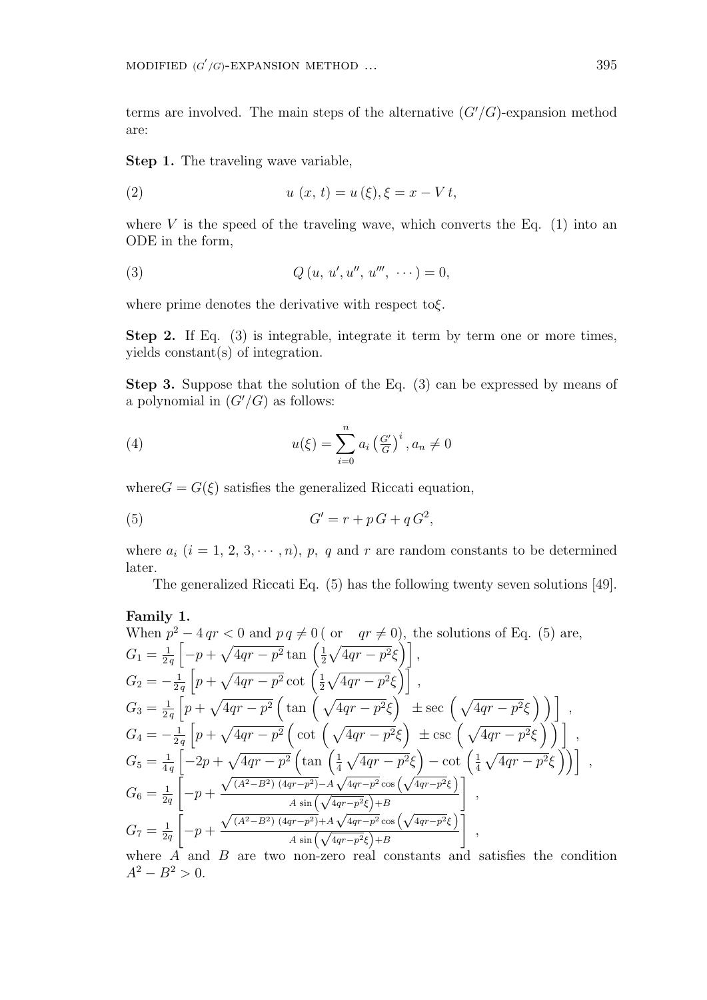terms are involved. The main steps of the alternative  $(G'/G)$ -expansion method are:

**Step 1.** The traveling wave variable,

(2) 
$$
u(x, t) = u(\xi), \xi = x - Vt,
$$

where  $V$  is the speed of the traveling wave, which converts the Eq.  $(1)$  into an ODE in the form,

(3) 
$$
Q(u, u', u'', u''', \cdots) = 0,
$$

where prime denotes the derivative with respect to*ξ*.

**Step 2.** If Eq. (3) is integrable, integrate it term by term one or more times, yields constant(s) of integration.

**Step 3.** Suppose that the solution of the Eq. (3) can be expressed by means of a polynomial in  $(G'/G)$  as follows:

(4) 
$$
u(\xi) = \sum_{i=0}^{n} a_i \left(\frac{G'}{G}\right)^i, a_n \neq 0
$$

where  $G = G(\xi)$  satisfies the generalized Riccati equation,

$$
(5) \tG' = r + pG + qG^2,
$$

where  $a_i$   $(i = 1, 2, 3, \cdots, n)$ ,  $p$ ,  $q$  and  $r$  are random constants to be determined later.

The generalized Riccati Eq. (5) has the following twenty seven solutions [49].

**Family 1.**  
\nWhen 
$$
p^2 - 4qr < 0
$$
 and  $pq \neq 0$  (or  $qr \neq 0$ ), the solutions of Eq. (5) are,  
\n
$$
G_1 = \frac{1}{2q} \left[ -p + \sqrt{4qr - p^2} \tan \left( \frac{1}{2} \sqrt{4qr - p^2} \xi \right) \right],
$$
\n
$$
G_2 = -\frac{1}{2q} \left[ p + \sqrt{4qr - p^2} \cot \left( \frac{1}{2} \sqrt{4qr - p^2} \xi \right) \right],
$$
\n
$$
G_3 = \frac{1}{2q} \left[ p + \sqrt{4qr - p^2} \left( \tan \left( \sqrt{4qr - p^2} \xi \right) \right) \pm \sec \left( \sqrt{4qr - p^2} \xi \right) \right],
$$
\n
$$
G_4 = -\frac{1}{2q} \left[ p + \sqrt{4qr - p^2} \left( \cot \left( \sqrt{4qr - p^2} \xi \right) \pm \csc \left( \sqrt{4qr - p^2} \xi \right) \right) \right],
$$
\n
$$
G_5 = \frac{1}{4q} \left[ -2p + \sqrt{4qr - p^2} \left( \tan \left( \frac{1}{4} \sqrt{4qr - p^2} \xi \right) - \cot \left( \frac{1}{4} \sqrt{4qr - p^2} \xi \right) \right) \right],
$$
\n
$$
G_6 = \frac{1}{2q} \left[ -p + \frac{\sqrt{(A^2 - B^2)(4qr - p^2)} - A \sqrt{4qr - p^2} \cos \left( \sqrt{4qr - p^2} \xi \right)}{A \sin \left( \sqrt{4qr - p^2} \xi \right) + B} \right],
$$
\n
$$
G_7 = \frac{1}{2q} \left[ -p + \frac{\sqrt{(A^2 - B^2)(4qr - p^2)} + A \sqrt{4qr - p^2} \cos \left( \sqrt{4qr - p^2} \xi \right)}{A \sin \left( \sqrt{4qr - p^2} \xi \right) + B} \right],
$$
\nwhere A and B are two non-zero real constants and satisfies the condition  $A^2 - B^2 > 0$ .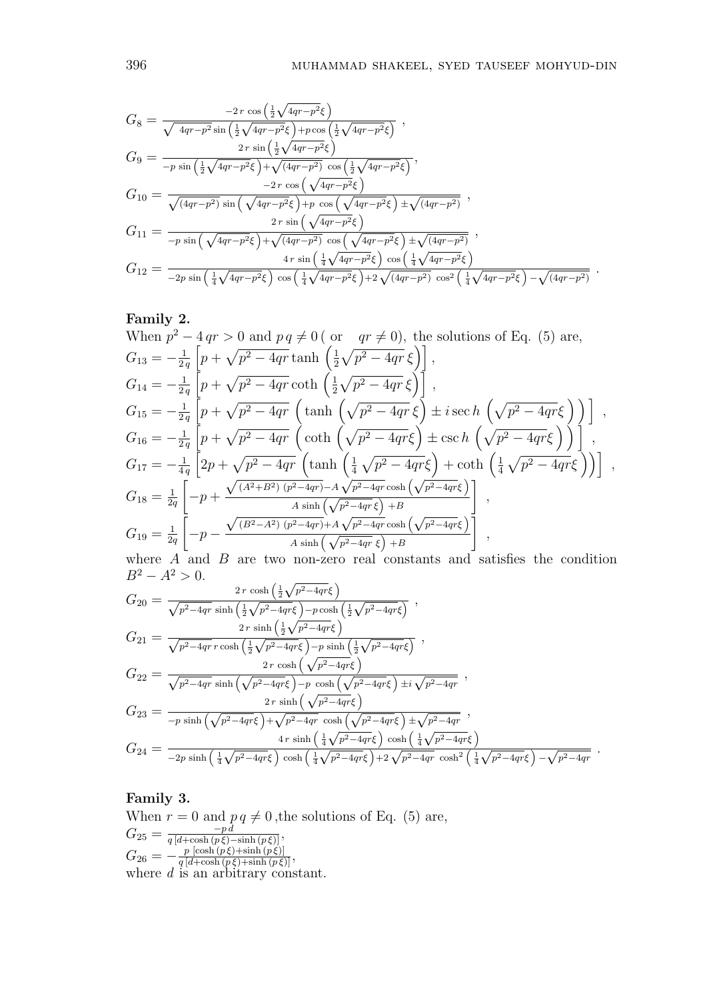$$
G_{8} = \frac{-2 r \cos \left(\frac{1}{2}\sqrt{4qr-p^{2}}\xi\right)}{\sqrt{4qr-p^{2}} \sin \left(\frac{1}{2}\sqrt{4qr-p^{2}}\xi\right) + p \cos \left(\frac{1}{2}\sqrt{4qr-p^{2}}\xi\right)} ,
$$
  
\n
$$
G_{9} = \frac{2 r \sin \left(\frac{1}{2}\sqrt{4qr-p^{2}}\xi\right)}{-p \sin \left(\frac{1}{2}\sqrt{4qr-p^{2}}\xi\right) + \sqrt{(4qr-p^{2})} \cos \left(\frac{1}{2}\sqrt{4qr-p^{2}}\xi\right)} ,
$$
  
\n
$$
G_{10} = \frac{-2 r \cos \left(\sqrt{4qr-p^{2}}\xi\right)}{\sqrt{(4qr-p^{2})} \sin \left(\sqrt{4qr-p^{2}}\xi\right) + p \cos \left(\sqrt{4qr-p^{2}}\xi\right) \pm \sqrt{(4qr-p^{2})} ,
$$
  
\n
$$
G_{11} = \frac{2 r \sin \left(\sqrt{4qr-p^{2}}\xi\right)}{-p \sin \left(\sqrt{4qr-p^{2}}\xi\right) + \sqrt{(4qr-p^{2})} \cos \left(\sqrt{4qr-p^{2}}\xi\right) \pm \sqrt{(4qr-p^{2})} ,
$$
  
\n
$$
G_{12} = \frac{4 r \sin \left(\frac{1}{4}\sqrt{4qr-p^{2}}\xi\right) \cos \left(\frac{1}{4}\sqrt{4qr-p^{2}}\xi\right)}{-2p \sin \left(\frac{1}{4}\sqrt{4qr-p^{2}}\xi\right) \cos \left(\frac{1}{4}\sqrt{4qr-p^{2}}\xi\right) + 2 \sqrt{(4qr-p^{2})} \cos^{2} \left(\frac{1}{4}\sqrt{4qr-p^{2}}\xi\right) - \sqrt{(4qr-p^{2})} .
$$

## **Family 2.**

When 
$$
p^2 - 4qr > 0
$$
 and  $pq \neq 0$  ( or  $qr \neq 0$ ), the solutions of Eq. (5) are,  
\n
$$
G_{13} = -\frac{1}{2q} \left[ p + \sqrt{p^2 - 4qr} \tanh \left( \frac{1}{2} \sqrt{p^2 - 4qr} \xi \right) \right],
$$
\n
$$
G_{14} = -\frac{1}{2q} \left[ p + \sqrt{p^2 - 4qr} \coth \left( \frac{1}{2} \sqrt{p^2 - 4qr} \xi \right) \right],
$$
\n
$$
G_{15} = -\frac{1}{2q} \left[ p + \sqrt{p^2 - 4qr} \left( \tanh \left( \sqrt{p^2 - 4qr} \xi \right) \pm i \sec h \left( \sqrt{p^2 - 4qr} \xi \right) \right) \right],
$$
\n
$$
G_{16} = -\frac{1}{2q} \left[ p + \sqrt{p^2 - 4qr} \left( \coth \left( \sqrt{p^2 - 4qr} \xi \right) \pm \csc h \left( \sqrt{p^2 - 4qr} \xi \right) \right) \right],
$$
\n
$$
G_{17} = -\frac{1}{4q} \left[ 2p + \sqrt{p^2 - 4qr} \left( \tanh \left( \frac{1}{4} \sqrt{p^2 - 4qr} \xi \right) + \coth \left( \frac{1}{4} \sqrt{p^2 - 4qr} \xi \right) \right) \right],
$$
\n
$$
G_{18} = \frac{1}{2q} \left[ -p + \frac{\sqrt{(A^2 + B^2)(p^2 - 4qr)} - A\sqrt{p^2 - 4qr} \cosh \left( \sqrt{p^2 - 4qr} \xi \right)}{A \sinh \left( \sqrt{p^2 - 4qr} \xi \right) + B} \right],
$$
\n
$$
G_{19} = \frac{1}{2q} \left[ -p - \frac{\sqrt{(B^2 - A^2)(p^2 - 4qr)} + A\sqrt{p^2 - 4qr} \cosh \left( \sqrt{p^2 - 4qr} \xi \right)}{A \sinh \left( \sqrt{p^2 - 4qr} \xi \right) + B} \right],
$$

where *A* and *B* are two non-zero real constants and satisfies the condition  $B^2 - A^2 > 0.$  $2r \cosh\left(\frac{1}{2}\sqrt{p^2-4qr}\xi\right)$ 

$$
G_{20} = \frac{2r \cosh\left(\frac{1}{2}\sqrt{p^2-4qr}\xi\right)}{\sqrt{p^2-4qr} \sinh\left(\frac{1}{2}\sqrt{p^2-4qr}\xi\right)-p \cosh\left(\frac{1}{2}\sqrt{p^2-4qr}\xi\right)} ,
$$
  
\n
$$
G_{21} = \frac{2r \sinh\left(\frac{1}{2}\sqrt{p^2-4qr}\xi\right)}{\sqrt{p^2-4qr} \cosh\left(\frac{1}{2}\sqrt{p^2-4qr}\xi\right)-p \sinh\left(\frac{1}{2}\sqrt{p^2-4qr}\xi\right)} ,
$$
  
\n
$$
G_{22} = \frac{2r \cosh\left(\sqrt{p^2-4qr}\xi\right)}{\sqrt{p^2-4qr} \sinh\left(\sqrt{p^2-4qr}\xi\right)-p \cosh\left(\sqrt{p^2-4qr}\xi\right) \pm i\sqrt{p^2-4qr}} ,
$$
  
\n
$$
G_{23} = \frac{2r \sinh\left(\sqrt{p^2-4qr}\xi\right)}{-p \sinh\left(\sqrt{p^2-4qr}\xi\right)+\sqrt{p^2-4qr} \cosh\left(\sqrt{p^2-4qr}\xi\right) \pm \sqrt{p^2-4qr}} ,
$$
  
\n
$$
G_{24} = \frac{4r \sinh\left(\frac{1}{4}\sqrt{p^2-4qr}\xi\right) \cosh\left(\frac{1}{4}\sqrt{p^2-4qr}\xi\right)}{-2p \sinh\left(\frac{1}{4}\sqrt{p^2-4qr}\xi\right) \cosh\left(\frac{1}{4}\sqrt{p^2-4qr}\xi\right)+2\sqrt{p^2-4qr} \cosh^2\left(\frac{1}{4}\sqrt{p^2-4qr}\xi\right)-\sqrt{p^2-4qr}} .
$$

# **Family 3.** When  $r = 0$  and  $pq \neq 0$ , the solutions of Eq. (5) are,  $G_{25} = \frac{-p d}{q [d + \cosh (p \xi) - \sinh (p \xi)]},$  $G_{26} = -\frac{p \left[\cosh\left(p \xi\right) + \sinh\left(p \xi\right)\right]}{q \left[d + \cosh\left(p \xi\right) + \sinh\left(p \xi\right)\right]},$ where *d* is an arbitrary constant.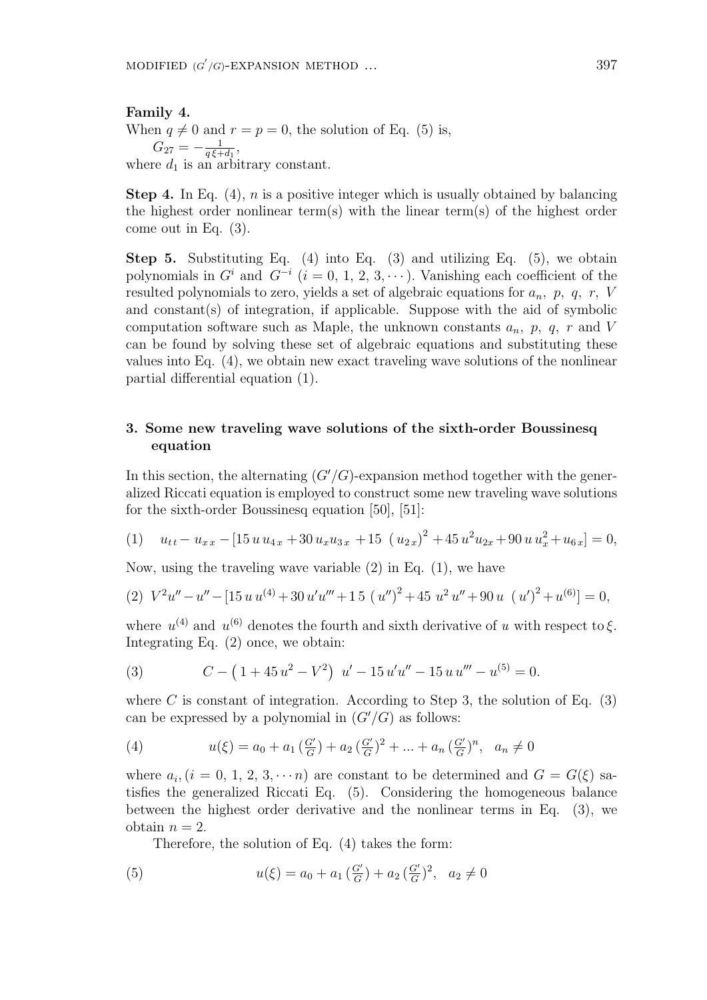#### **Family 4.**

When  $q \neq 0$  and  $r = p = 0$ , the solution of Eq. (5) is,  $G_{27} = -\frac{1}{a \xi + 1}$  $\frac{1}{q\xi+d_1}$ where  $d_1$  is an arbitrary constant.

**Step 4.** In Eq. (4), *n* is a positive integer which is usually obtained by balancing the highest order nonlinear term(s) with the linear term(s) of the highest order come out in Eq. (3).

**Step 5.** Substituting Eq. (4) into Eq. (3) and utilizing Eq. (5), we obtain polynomials in  $G^i$  and  $G^{-i}$  ( $i = 0, 1, 2, 3, \cdots$ ). Vanishing each coefficient of the resulted polynomials to zero, yields a set of algebraic equations for *an, p, q, r, V* and constant(s) of integration, if applicable. Suppose with the aid of symbolic computation software such as Maple, the unknown constants *an, p, q, r* and *V* can be found by solving these set of algebraic equations and substituting these values into Eq. (4), we obtain new exact traveling wave solutions of the nonlinear partial differential equation (1).

### **3. Some new traveling wave solutions of the sixth-order Boussinesq equation**

In this section, the alternating  $(G'/G)$ -expansion method together with the generalized Riccati equation is employed to construct some new traveling wave solutions for the sixth-order Boussinesq equation [50], [51]:

(1) 
$$
u_{tt} - u_{xx} - [15u u_{4x} + 30 u_x u_{3x} + 15 (u_{2x})^2 + 45 u^2 u_{2x} + 90 u u_x^2 + u_{6x}] = 0,
$$

Now, using the traveling wave variable (2) in Eq. (1), we have

(2) 
$$
V^2u'' - u'' - [15 u u^{(4)} + 30 u' u''' + 15 (u'')^2 + 45 u^2 u'' + 90 u (u')^2 + u^{(6)}] = 0,
$$

where  $u^{(4)}$  and  $u^{(6)}$  denotes the fourth and sixth derivative of *u* with respect to  $\xi$ . Integrating Eq. (2) once, we obtain:

(3) 
$$
C - (1 + 45u^2 - V^2) u' - 15u'u'' - 15u u''' - u^{(5)} = 0.
$$

where  $C$  is constant of integration. According to Step 3, the solution of Eq.  $(3)$ can be expressed by a polynomial in  $(G'/G)$  as follows:

(4) 
$$
u(\xi) = a_0 + a_1 \left(\frac{G'}{G}\right) + a_2 \left(\frac{G'}{G}\right)^2 + \dots + a_n \left(\frac{G'}{G}\right)^n, \quad a_n \neq 0
$$

where  $a_i$ ,  $(i = 0, 1, 2, 3, \cdots n)$  are constant to be determined and  $G = G(\xi)$  satisfies the generalized Riccati Eq. (5). Considering the homogeneous balance between the highest order derivative and the nonlinear terms in Eq. (3), we obtain  $n = 2$ .

Therefore, the solution of Eq. (4) takes the form:

(5) 
$$
u(\xi) = a_0 + a_1 \left(\frac{G'}{G}\right) + a_2 \left(\frac{G'}{G}\right)^2, \quad a_2 \neq 0
$$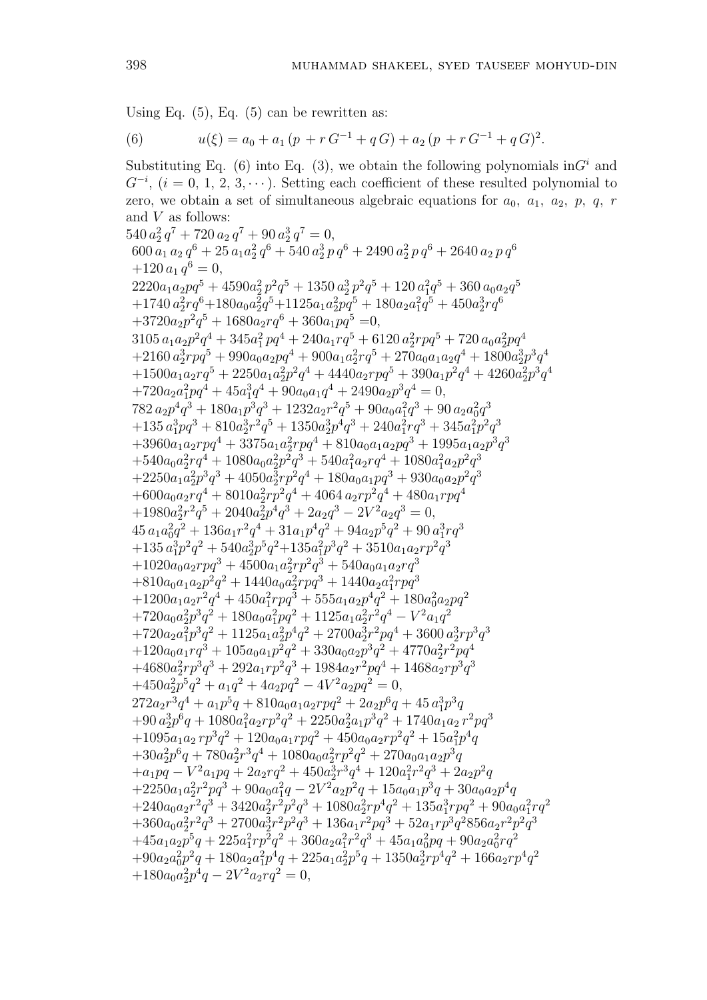Using Eq.  $(5)$ , Eq.  $(5)$  can be rewritten as:

(6) 
$$
u(\xi) = a_0 + a_1 (p + r G^{-1} + q G) + a_2 (p + r G^{-1} + q G)^2.
$$

Substituting Eq. (6) into Eq. (3), we obtain the following polynomials  $\text{in}G^i$  and *G*<sup>−*i*</sup>, (*i* = 0, 1, 2, 3, · · ·). Setting each coefficient of these resulted polynomial to zero, we obtain a set of simultaneous algebraic equations for  $a_0$ ,  $a_1$ ,  $a_2$ ,  $p$ ,  $q$ ,  $r$ and *V* as follows:  $540 a_2^2 q^7 + 720 a_2 q^7 + 90 a_2^3 q^7 = 0,$  $600 a_1 a_2 q^6 + 25 a_1 a_2^2 q^6 + 540 a_2^3 p q^6 + 2490 a_2^2 p q^6 + 2640 a_2 p q^6$  $+120 a_1 q^6 = 0,$  $2220a_1a_2pq^5 + 4590a_2^2p^2q^5 + 1350a_2^3p^2q^5 + 120a_1^2q^5 + 360a_0a_2q^5$  $+1740 a_2^2 r q^6 + 180 a_0 a_2^2 q^5 + 1125 a_1 a_2^2 p q^5 + 180 a_2 a_1^2 q^5 + 450 a_2^3 r q^6$  $+3720a_2p^2q^5 + 1680a_2rq^6 + 360a_1pq^5 = 0,$  $3105 a_1 a_2 p^2 q^4 + 345 a_1^2 p q^4 + 240 a_1 r q^5 + 6120 a_2^2 r p q^5 + 720 a_0 a_2^2 p q^4$  $+2160 a_2^3 r p q^5 + 990 a_0 a_2 p q^4 + 900 a_1 a_2^2 r q^5 + 270 a_0 a_1 a_2 q^4 + 1800 a_2^3 p^3 q^4$  $+1500a_1a_2rq^5 + 2250a_1a_2^2p^2q^4 + 4440a_2rpq^5 + 390a_1p^2q^4 + 4260a_2^2p^3q^4$  $+720a_2a_1^2pq^4 + 45a_1^3q^4 + 90a_0a_1q^4 + 2490a_2p^3q^4 = 0,$  $782 a_2 p^4 q^3 + 180 a_1 p^3 q^3 + 1232 a_2 r^2 q^5 + 90 a_0 a_1^2 q^3 + 90 a_2 a_0^2 q^3$  $+135 a_1^3 p q^3 + 810 a_2^3 r^2 q^5 + 1350 a_2^3 p^4 q^3 + 240 a_1^2 r q^3 + 345 a_1^2 p^2 q^3$  $+3960a_1a_2rpq^4 + 3375a_1a_2^2rpq^4 + 810a_0a_1a_2pq^3 + 1995a_1a_2p^3q^3$  $+540a_0a_2^2rq^4 + 1080a_0a_2^2p^2q^3 + 540a_1^2a_2rq^4 + 1080a_1^2a_2p^2q^3$  $+2250a_1a_2^2p^3q^3 + 4050a_2^3rp^2q^4 + 180a_0a_1pq^3 + 930a_0a_2p^2q^3$  $+600a_0a_2rq^4 + 8010a_2^2rp^2q^4 + 4064a_2rp^2q^4 + 480a_1rpq^4$  $+1980a_2^2r^2q^5 + 2040a_2^2p^4q^3 + 2a_2q^3 - 2V^2a_2q^3 = 0,$  $45 a_1 a_0^2 q^2 + 136 a_1 r^2 q^4 + 31 a_1 p^4 q^2 + 94 a_2 p^5 q^2 + 90 a_1^3 r q^3$  $+135 a_1^3 p^2 q^2 + 540 a_2^3 p^5 q^2 + 135 a_1^2 p^3 q^2 + 3510 a_1 a_2 r p^2 q^3$  $+1020a_0a_2rpq^3 + 4500a_1a_2^2rp^2q^3 + 540a_0a_1a_2rq^3$  $+810a_0a_1a_2p^2q^2 + 1440a_0a_2^2rpq^3 + 1440a_2a_1^2rpq^3$  $+1200a_1a_2r^2q^4 + 450a_1^2rpq^3 + 555a_1a_2p^4q^2 + 180a_0^2a_2pq^2$  $+720a_0a_2^2p^3q^2 + 180a_0a_1^2pq^2 + 1125a_1a_2^2r^2q^4 - V^2a_1q^2$  $+720a_2a_1^2p^3q^2 + 1125a_1a_2^2p^4q^2 + 2700a_2^3r^2pq^4 + 3600a_2^3rp^3q^3$  $+120a_0a_1rq^3 + 105a_0a_1p^2q^2 + 330a_0a_2p^3q^2 + 4770a_2^2r^2pq^4$  $+4680a_2^2rp^3q^3 + 292a_1rp^2q^3 + 1984a_2r^2pq^4 + 1468a_2rp^3q^3$  $+450a_2^2p^5q^2 + a_1q^2 + 4a_2pq^2 - 4V^2a_2pq^2 = 0,$  $272a_2r^3q^4 + a_1p^5q + 810a_0a_1a_2rpq^2 + 2a_2p^6q + 45a_1^3p^3q$  $+90 a_2^3 p^6 q + 1080 a_1^2 a_2 r p^2 q^2 + 2250 a_2^2 a_1 p^3 q^2 + 1740 a_1 a_2 r^2 p q^3$  $+1095a_1a_2rp^3q^2 + 120a_0a_1rpq^2 + 450a_0a_2rp^2q^2 + 15a_1^2p^4q$  $+30a_2^2p^6q + 780a_2^2r^3q^4 + 1080a_0a_2^2rp^2q^2 + 270a_0a_1a_2p^3q$  $+a_1pq - V^2a_1pq + 2a_2rq^2 + 450a_2^3r^3q^4 + 120a_1^2r^2q^3 + 2a_2p^2q$  $+2250a_1a_2^2r^2pq^3 + 90a_0a_1^2q - 2V^2a_2p^2q + 15a_0a_1p^3q + 30a_0a_2p^4q$  $+240a_0a_2r^2q^3 + 3420a_2^2r^2p^2q^3 + 1080a_2^2rp^4q^2 + 135a_1^3rpq^2 + 90a_0a_1^2rq^2$  $+360a_0a_2^2r^2q^3 + 2700a_2^3r^2p^2q^3 + 136a_1r^2pq^3 + 52a_1rp^3q^2856a_2r^2p^2q^3$  $+45a_1a_2p^5q + 225a_1^2rp^2q^2 + 360a_2a_1^2r^2q^3 + 45a_1a_0^2pq + 90a_2a_0^2rq^2$  $+90a_2a_0^2p^2q + 180a_2a_1^2p^4q + 225a_1a_2^2p^5q + 1350a_2^3rp^4q^2 + 166a_2rp^4q^2$  $+180a_0a_2^2p^4q - 2V^2a_2rq^2 = 0,$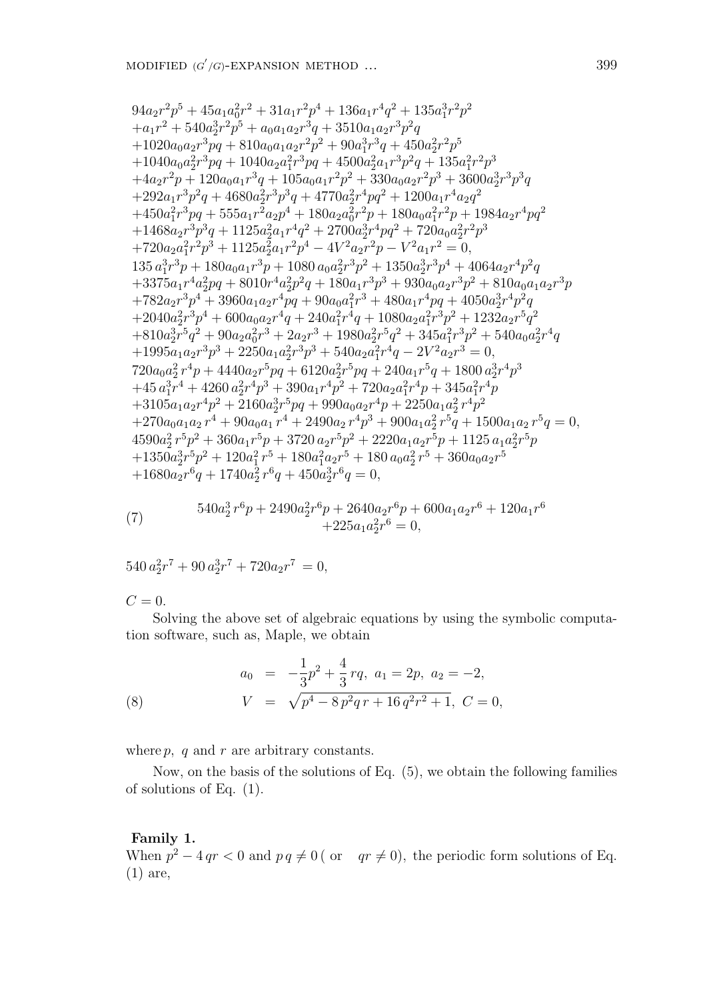$$
\begin{array}{l} 94 a_2 r^2 p^5 + 45 a_1 a_0^2 r^2 + 31 a_1 r^2 p^4 + 136 a_1 r^4 q^2 + 135 a_1^3 r^2 p^2 \\ + a_1 r^2 + 540 a_2^3 r^2 p^5 + a_0 a_1 a_2 r^3 q + 3510 a_1 a_2 r^3 p^2 q \\ + 1020 a_0 a_2 r^3 p q + 810 a_0 a_1 a_2 r^2 p^2 + 90 a_1^3 r^3 q + 450 a_2^2 r^2 p^5 \\ + 1040 a_0 a_2^2 r^3 p q + 1040 a_2 a_1^2 r^3 p q + 4500 a_2^2 a_1 r^3 p^2 q + 135 a_1^2 r^2 p^3 \\ + 4 a_2 r^2 p + 120 a_0 a_1 r^3 q + 105 a_0 a_1 r^2 p^2 + 330 a_0 a_2 r^2 p^3 + 3600 a_2^3 r^3 p^3 q \\ + 292 a_1 r^3 p^2 q + 4680 a_2^2 r^3 p^3 q + 4770 a_2^2 r^4 p q^2 + 1200 a_1 r^4 a_2 q^2 \\ + 450 a_1^2 r^3 p q + 555 a_1 r^2 a_2 p^4 + 180 a_2 a_0^2 r^2 p + 180 a_0 a_1^2 r^2 p + 1984 a_2 r^4 p q^2 \\ + 1468 a_2 r^3 p^3 q + 1125 a_2^2 a_1 r^4 q^2 + 2700 a_2^3 r^4 p q^2 + 720 a_0 a_2^2 r^2 p^3 \\ + 720 a_2 a_1^2 r^2 p^3 + 1125 a_2^2 a_1 r^2 p^4 - 4 V^2 a_2 r^2 p - V^2 a_1 r^2 = 0, \\ 135 a_1^3 r^3 p + 180 a_0 a_1 r^3 p + 1080 a_0 a_2^2 r^3 p^2 + 1350 a_2^3 r^3 p^4 + 4064 a_2 r^4 p^2 q \\ + 3375 a_1 r^4 a_2^2 p q + 8010 r^4
$$

(7) 
$$
540a_2^3r^6p + 2490a_2^2r^6p + 2640a_2r^6p + 600a_1a_2r^6 + 120a_1r^6 + 225a_1a_2^2r^6 = 0,
$$

 $540 a_2^2 r^7 + 90 a_2^3 r^7 + 720 a_2 r^7 = 0,$ 

 $C = 0$ .

Solving the above set of algebraic equations by using the symbolic computation software, such as, Maple, we obtain

(8) 
$$
a_0 = -\frac{1}{3}p^2 + \frac{4}{3}rq, \quad a_1 = 2p, \quad a_2 = -2,
$$

$$
V = \sqrt{p^4 - 8p^2qr + 16q^2r^2 + 1}, \quad C = 0,
$$

where *p, q* and *r* are arbitrary constants.

Now, on the basis of the solutions of Eq. (5), we obtain the following families of solutions of Eq. (1).

### **Family 1.**

When  $p^2 - 4 qr < 0$  and  $pq \neq 0$  ( or  $qr \neq 0$ ), the periodic form solutions of Eq. (1) are,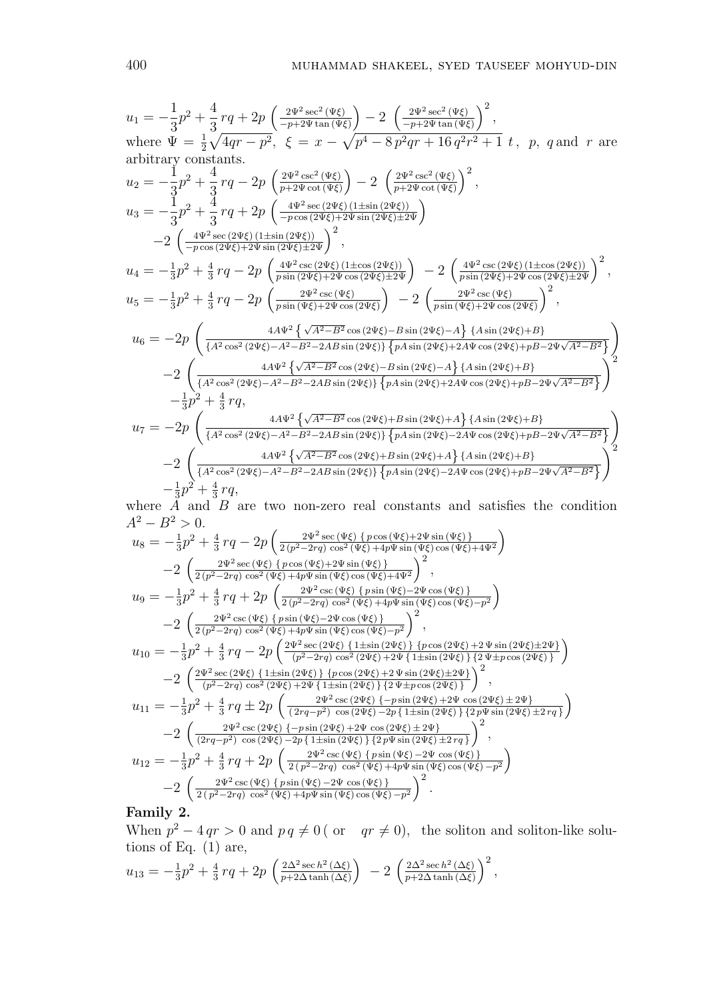$$
u_1 = -\frac{1}{3}p^2 + \frac{4}{3}rq + 2p\left(\frac{2\Psi^2 \sec^2(\Psi\xi)}{-p+2\Psi\tan(\Psi\xi)}\right) - 2\left(\frac{2\Psi^2 \sec^2(\Psi\xi)}{-p+2\Psi\tan(\Psi\xi)}\right)^2,
$$
  
where  $\Psi = \frac{1}{2}\sqrt{4qr - p^2}$ ,  $\xi = x - \sqrt{p^4 - 8p^2qr + 16q^2r^2 + 1}$  t, p, q and r are  
arbitrary constants.  
 $u_2 = -\frac{1}{3}p^2 + \frac{4}{3}rq - 2p\left(\frac{2\Psi^2 \csc^2(\Psi\xi)}{p+2\Psi \cot(\Psi\xi)}\right) - 2\left(\frac{2\Psi^2 \csc^2(\Psi\xi)}{p+2\Psi \cot(\Psi\xi)}\right)^2,$   
 $u_3 = -\frac{1}{3}p^2 + \frac{4}{3}rq + 2p\left(\frac{4\Psi^2 \sec(2\Psi\xi)(1\pm \sin(2\Psi\xi))}{-p\cos(2\Psi\xi)+2\Psi \sin(2\Psi\xi)\pm 2\Psi}\right)$   
 $-2\left(\frac{4\Psi^2 \sec(2\Psi\xi)(1\pm \sin(2\Psi\xi))}{-p\cos(2\Psi\xi)+2\Psi \sin(2\Psi\xi)\pm 2\Psi}\right)^2,$   
 $u_4 = -\frac{1}{3}p^2 + \frac{4}{3}rq - 2p\left(\frac{4\Psi^2 \csc(2\Psi\xi)(1\pm \cos(2\Psi\xi))}{p\sin(2\Psi\xi)+2\Psi \cos(2\Psi\xi)\pm 2\Psi}\right) - 2\left(\frac{4\Psi^2 \csc(2\Psi\xi)(1\pm \cos(2\Psi\xi))}{p\sin(2\Psi\xi)+2\Psi \cos(2\Psi\xi)}\right)^2,$   
 $u_5 = -\frac{1}{3}p^2 + \frac{4}{3}rq - 2p\left(\frac{2\Psi^2 \csc(\Psi\xi)}{p\sin(\Psi\xi)+2\Psi \cos(2\Psi\xi)}\right) - 2\left(\frac{2\Psi^2 \csc(\Psi\xi)}{p\sin(\Psi\xi)+2\Psi \cos(2\Psi\xi)}\right)^2,$   
 $u_6 = -2p\left(\frac$ 

where *A* and *B* are two non-zero real constants and satisfies the condition  $A^2 - B^2 > 0.$ 

$$
u_{8} = -\frac{1}{3}p^{2} + \frac{4}{3}rq - 2p\left(\frac{2\Psi^{2}\sec(\Psi\xi)\{p\cos(\Psi\xi)+2\Psi\sin(\Psi\xi)\}}{2(p^{2}-2rq)\cos^{2}(\Psi\xi)+4p\Psi\sin(\Psi\xi)\cos(\Psi\xi)+4\Psi^{2}}\right) -2\left(\frac{2\Psi^{2}\sec(\Psi\xi)\{p\cos(\Psi\xi)+2\Psi\sin(\Psi\xi)\}}{2(p^{2}-2rq)\cos^{2}(\Psi\xi)+4p\Psi\sin(\Psi\xi)\cos(\Psi\xi)+4\Psi^{2}}\right)^{2}, u_{9} = -\frac{1}{3}p^{2} + \frac{4}{3}rq + 2p\left(\frac{2\Psi^{2}\csc(\Psi\xi)\{p\sin(\Psi\xi)-2\Psi\cos(\Psi\xi)\}}{2(p^{2}-2rq)\cos^{2}(\Psi\xi)+4p\Psi\sin(\Psi\xi)\cos(\Psi\xi)-p^{2}}\right) -2\left(\frac{2\Psi^{2}\csc(\Psi\xi)\{p\sin(\Psi\xi)-2\Psi\cos(\Psi\xi)\}}{2(p^{2}-2rq)\cos^{2}(\Psi\xi)+4p\Psi\sin(\Psi\xi)\cos(\Psi\xi)-p^{2}}\right)^{2}, u_{10} = -\frac{1}{3}p^{2} + \frac{4}{3}rq - 2p\left(\frac{2\Psi^{2}\sec(2\Psi\xi)\{1\pm\sin(2\Psi\xi)\}\{p\cos(2\Psi\xi)+2\Psi\sin(2\Psi\xi)\}\{2\Psi\pm p\cos(2\Psi\xi)\}\right) -2\left(\frac{2\Psi^{2}\sec(2\Psi\xi)\{1\pm\sin(2\Psi\xi)\}\{p\cos(2\Psi\xi)+2\Psi\sin(2\Psi\xi)\}\{2\Psi\pm p\cos(2\Psi\xi)\}\right)^{2}, u_{11} = -\frac{1}{3}p^{2} + \frac{4}{3}rq \pm 2p\left(\frac{2\Psi^{2}\csc(2\Psi\xi)\{-p\sin(2\Psi\xi)+2\Psi\cos(2\Psi\xi)\}}{2\Psi\pm p\cos(2\Psi\xi)+2\Psi\sin(2\Psi\xi)\}\{2\Psi\pm p\cos(2\Psi\xi)\}\right)^{2}, u_{11} = -\frac{1}{3}p^{2} + \frac{4}{3}rq \pm 2p\left
$$

**Family 2.**

When  $p^2 - 4 qr > 0$  and  $pq \neq 0$  ( or  $qr \neq 0$ ), the soliton and soliton-like solutions of Eq.  $(1)$  are,

$$
u_{13} = -\frac{1}{3}p^2 + \frac{4}{3}rq + 2p\left(\frac{2\Delta^2 \sec h^2(\Delta\xi)}{p + 2\Delta \tanh(\Delta\xi)}\right) - 2\left(\frac{2\Delta^2 \sec h^2(\Delta\xi)}{p + 2\Delta \tanh(\Delta\xi)}\right)^2,
$$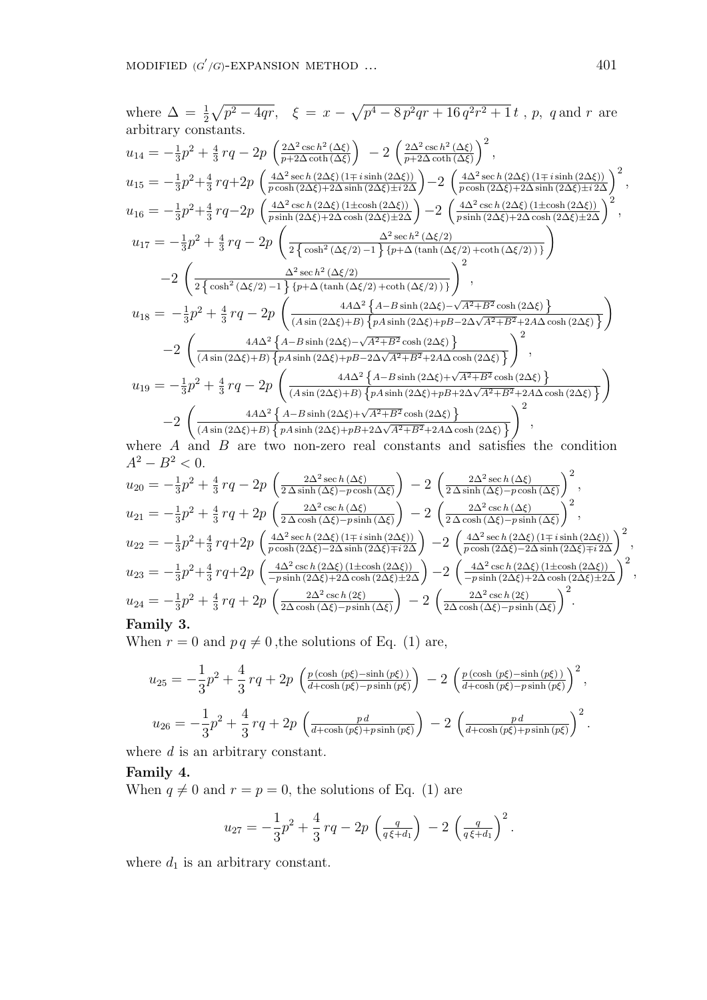where 
$$
\Delta = \frac{1}{2}\sqrt{p^2 - 4qr}
$$
, 
$$
\xi = x - \sqrt{p^4 - 8p^2qr + 16q^2r^2 + 1}t
$$
, p, q and r are arbitrary constants.  
\n
$$
u_{14} = -\frac{1}{3}p^2 + \frac{4}{3}rq - 2p\left(\frac{2\Delta^2 \csc h^2(\Delta\xi)}{p+2\Delta \coth(\Delta\xi)}\right) - 2\left(\frac{2\Delta^2 \csc h^2(\Delta\xi)}{p+2\Delta \coth(\Delta\xi)}\right)^2,
$$
\n
$$
u_{15} = -\frac{1}{3}p^2 + \frac{4}{3}rq + 2p\left(\frac{4\Delta^2 \sec h(2\Delta\xi)(1 \mp i \sinh(2\Delta\xi))}{p \cosh(2\Delta\xi) + 2\Delta \sinh(2\Delta\xi) \pm i 2\Delta}\right) - 2\left(\frac{4\Delta^2 \sec h(2\Delta\xi)(1 \mp i \sinh(2\Delta\xi))}{p \cosh(2\Delta\xi) + 2\Delta \sinh(2\Delta\xi) \pm i 2\Delta}\right)^2,
$$
\n
$$
u_{16} = -\frac{1}{3}p^2 + \frac{4}{3}rq - 2p\left(\frac{4\Delta^2 \csc h(2\Delta\xi)(1 \pm \cosh(2\Delta\xi))}{p \sinh(2\Delta\xi) + 2\Delta \cosh(2\Delta\xi) \pm 2\Delta}\right) - 2\left(\frac{4\Delta^2 \csc h(2\Delta\xi)(1 \pm \cosh(2\Delta\xi))}{p \sinh(2\Delta\xi) + 2\Delta \cosh(2\Delta\xi) \pm 2\Delta}\right)^2,
$$
\n
$$
u_{17} = -\frac{1}{3}p^2 + \frac{4}{3}rq - 2p\left(\frac{\Delta^2 \sec h^2(\Delta\xi/2)}{2\{\cosh^2(\Delta\xi/2) - 1\}\{p + \Delta(\tanh(\Delta\xi/2) + \coth(\Delta\xi/2)\}\right)^2},
$$
\n
$$
u_{18} = -\frac{1}{3}p^2 + \frac{4}{3}rq - 2p\left(\frac{4A\Delta^2 \{A - B \sinh(2\Delta\xi) + \sqrt{A^2 + B^2} \cosh(2\Delta\xi
$$

where *A* and *B* are two non-zero real constants and satisfies the condition  $A^2 - B^2 < 0$ .

$$
u_{20} = -\frac{1}{3}p^2 + \frac{4}{3}rq - 2p\left(\frac{2\Delta^2 \sec h(\Delta\xi)}{2\Delta \sinh(\Delta\xi) - p \cosh(\Delta\xi)}\right) - 2\left(\frac{2\Delta^2 \sec h(\Delta\xi)}{2\Delta \sinh(\Delta\xi) - p \cosh(\Delta\xi)}\right)^2,
$$
  
\n
$$
u_{21} = -\frac{1}{3}p^2 + \frac{4}{3}rq + 2p\left(\frac{2\Delta^2 \csc h(\Delta\xi)}{2\Delta \cosh(\Delta\xi) - p \sinh(\Delta\xi)}\right) - 2\left(\frac{2\Delta^2 \csc h(\Delta\xi)}{2\Delta \cosh(\Delta\xi) - p \sinh(\Delta\xi)}\right)^2,
$$
  
\n
$$
u_{22} = -\frac{1}{3}p^2 + \frac{4}{3}rq + 2p\left(\frac{4\Delta^2 \sec h(2\Delta\xi)(1 \mp i \sinh(2\Delta\xi))}{p \cosh(2\Delta\xi) - 2\Delta \sinh(2\Delta\xi)}\right) - 2\left(\frac{4\Delta^2 \sec h(2\Delta\xi)(1 \mp i \sinh(2\Delta\xi))}{p \cosh(2\Delta\xi) - 2\Delta \sinh(2\Delta\xi) + 2\Delta}\right)^2,
$$
  
\n
$$
u_{23} = -\frac{1}{3}p^2 + \frac{4}{3}rq + 2p\left(\frac{4\Delta^2 \csc h(2\Delta\xi)(1 \pm \cosh(2\Delta\xi))}{-p \sinh(2\Delta\xi) + 2\Delta \cosh(2\Delta\xi) \pm 2\Delta}\right) - 2\left(\frac{4\Delta^2 \csc h(2\Delta\xi)(1 \pm \cosh(2\Delta\xi))}{-p \sinh(2\Delta\xi) + 2\Delta \cosh(2\Delta\xi) \pm 2\Delta}\right)^2,
$$
  
\n
$$
u_{24} = -\frac{1}{3}p^2 + \frac{4}{3}rq + 2p\left(\frac{2\Delta^2 \csc h(2\xi)}{2\Delta \cosh(\Delta\xi) - p \sinh(\Delta\xi)}\right) - 2\left(\frac{2\Delta^2 \csc h(2\xi)}{2\Delta \cosh(\Delta\xi) - p \sinh(\Delta\xi)}\right)^2.
$$

When  $r = 0$  and  $pq \neq 0$ , the solutions of Eq. (1) are,

$$
u_{25} = -\frac{1}{3}p^2 + \frac{4}{3}rq + 2p \left(\frac{p(\cosh(p\xi) - \sinh(p\xi))}{d + \cosh(p\xi) - p\sinh(p\xi)}\right) - 2 \left(\frac{p(\cosh(p\xi) - \sinh(p\xi))}{d + \cosh(p\xi) - p\sinh(p\xi)}\right)^2,
$$
  

$$
u_{26} = -\frac{1}{3}p^2 + \frac{4}{3}rq + 2p \left(\frac{pd}{d + \cosh(p\xi) + p\sinh(p\xi)}\right) - 2 \left(\frac{pd}{d + \cosh(p\xi) + p\sinh(p\xi)}\right)^2.
$$

where *d* is an arbitrary constant.

## **Family 4.**

When  $q \neq 0$  and  $r = p = 0$ , the solutions of Eq. (1) are

$$
u_{27} = -\frac{1}{3}p^2 + \frac{4}{3}rq - 2p\left(\frac{q}{q\xi + d_1}\right) - 2\left(\frac{q}{q\xi + d_1}\right)^2.
$$

where  $d_1$  is an arbitrary constant.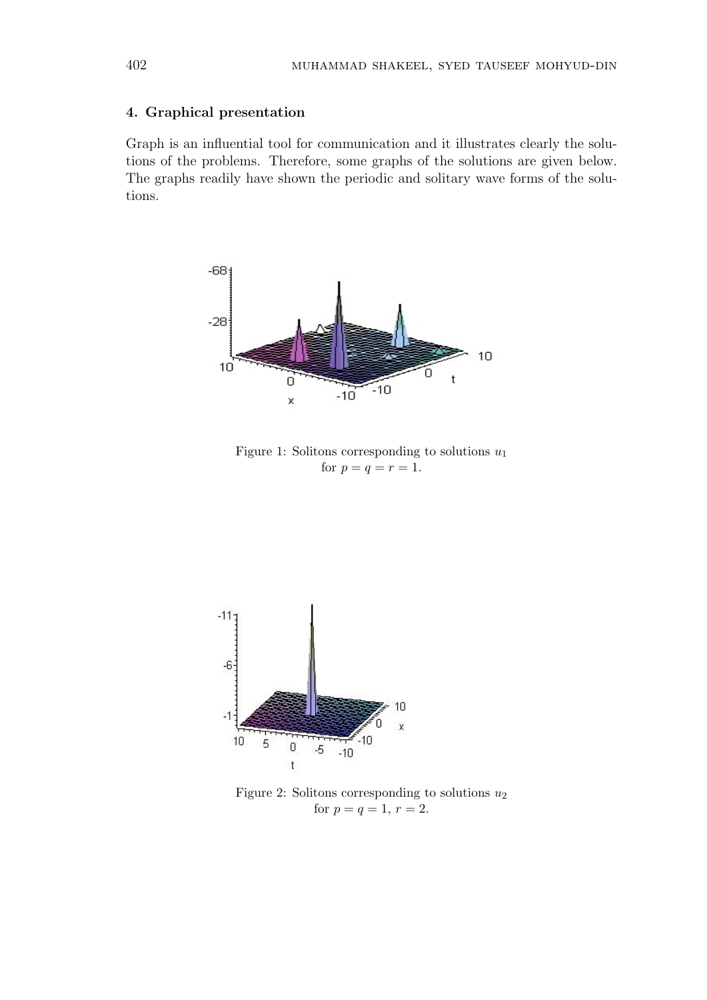#### **4. Graphical presentation**

Graph is an influential tool for communication and it illustrates clearly the solutions of the problems. Therefore, some graphs of the solutions are given below. The graphs readily have shown the periodic and solitary wave forms of the solutions.



Figure 1: Solitons corresponding to solutions *u*<sup>1</sup> for  $p = q = r = 1$ .



Figure 2: Solitons corresponding to solutions  $u_2$ for  $p = q = 1, r = 2.$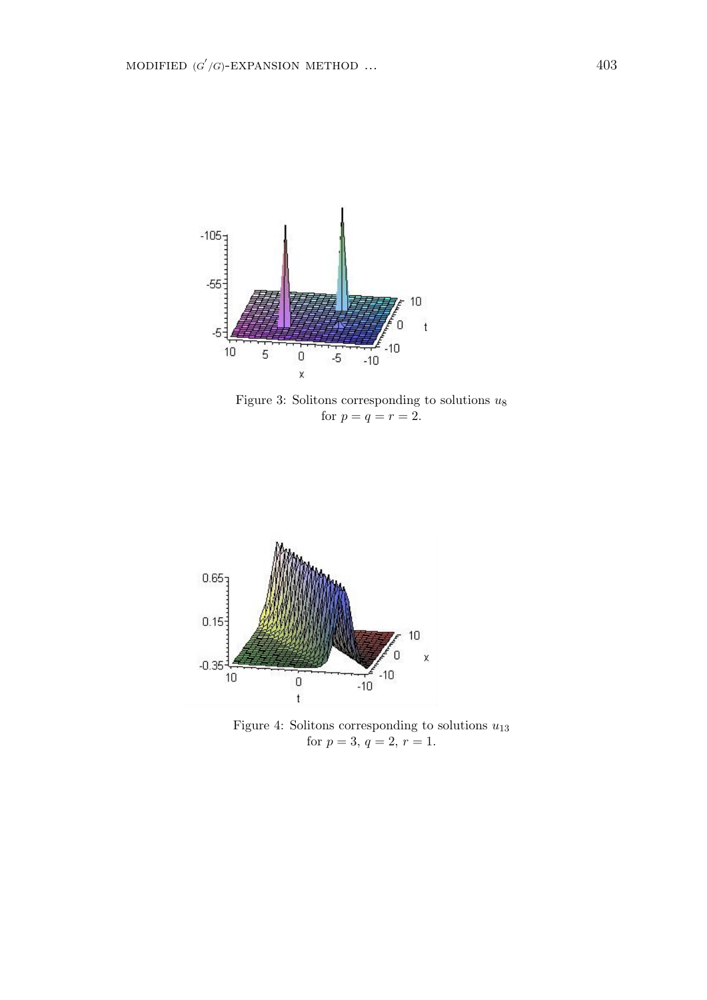

Figure 3: Solitons corresponding to solutions *u*<sup>8</sup> for  $p = q = r = 2$ .



Figure 4: Solitons corresponding to solutions *u*<sup>13</sup> for  $p = 3, q = 2, r = 1$ .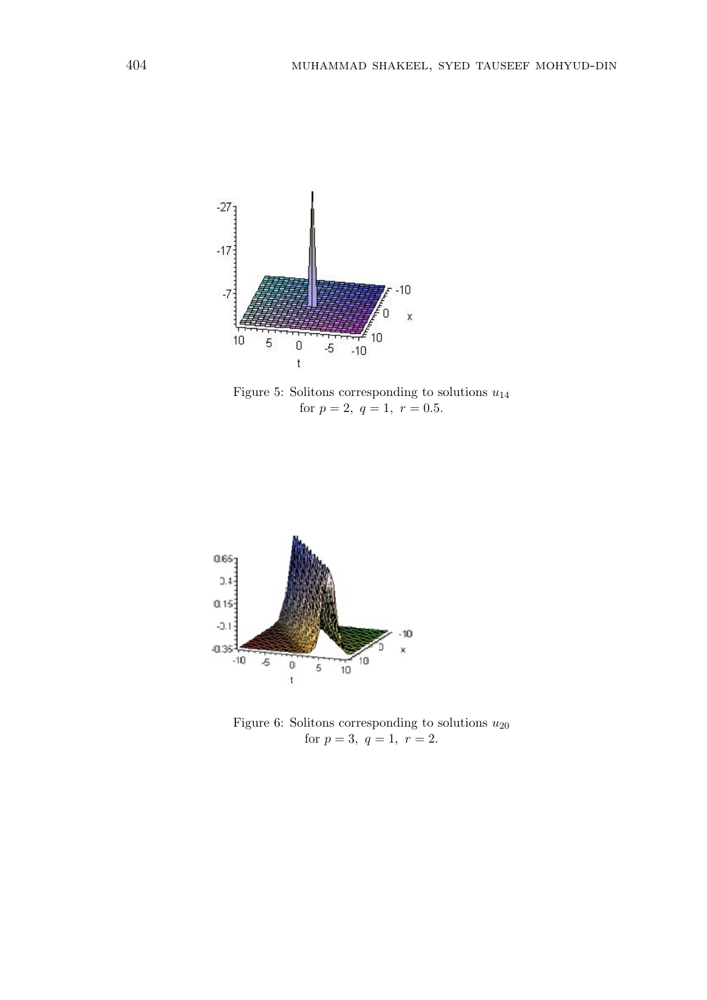

Figure 5: Solitons corresponding to solutions *u*<sup>14</sup> for  $p = 2$ ,  $q = 1$ ,  $r = 0.5$ .



Figure 6: Solitons corresponding to solutions *u*<sup>20</sup> for  $p = 3$ ,  $q = 1$ ,  $r = 2$ .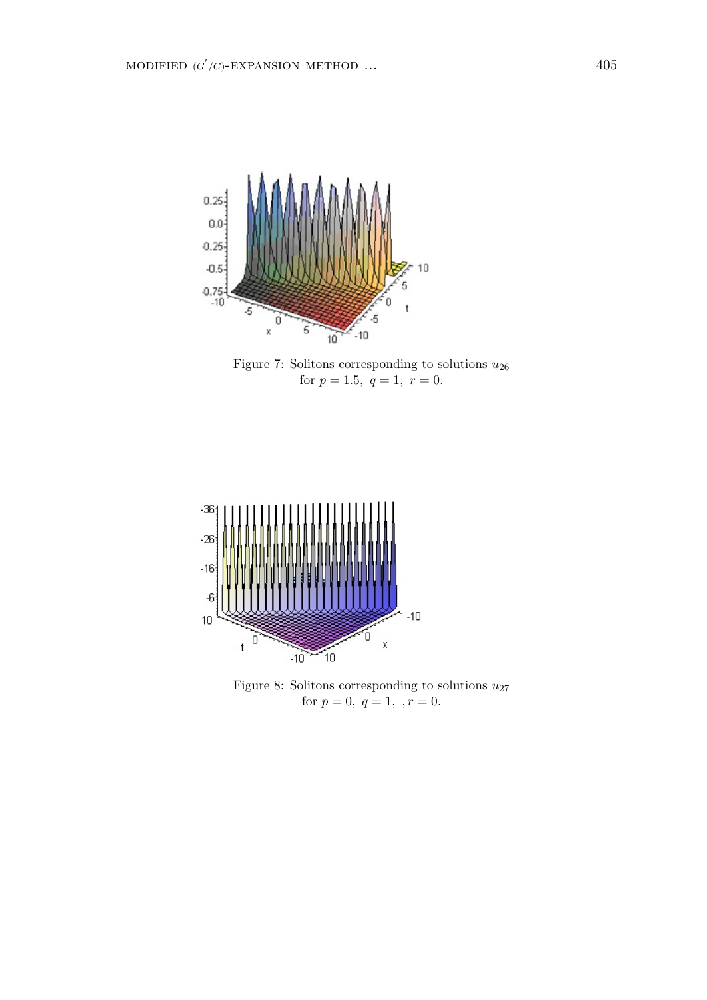

Figure 7: Solitons corresponding to solutions *u*<sup>26</sup> for  $p = 1.5, q = 1, r = 0.$ 



Figure 8: Solitons corresponding to solutions  $u_{27}$ for  $p = 0, q = 1, \dots, r = 0$ .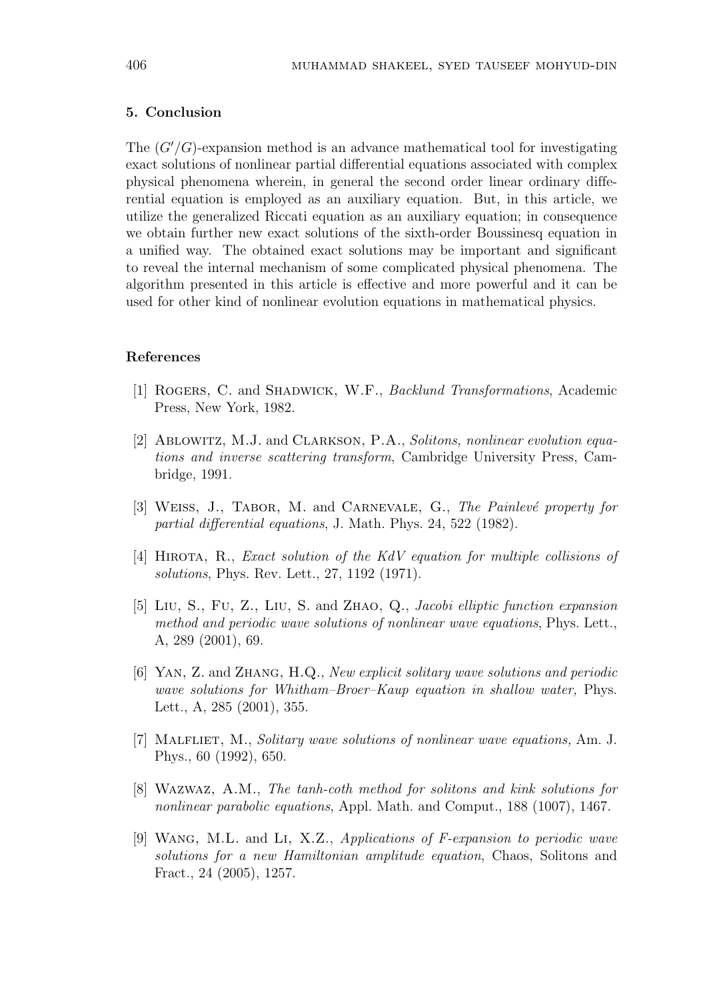#### **5. Conclusion**

The (*G′/G*)-expansion method is an advance mathematical tool for investigating exact solutions of nonlinear partial differential equations associated with complex physical phenomena wherein, in general the second order linear ordinary differential equation is employed as an auxiliary equation. But, in this article, we utilize the generalized Riccati equation as an auxiliary equation; in consequence we obtain further new exact solutions of the sixth-order Boussinesq equation in a unified way. The obtained exact solutions may be important and significant to reveal the internal mechanism of some complicated physical phenomena. The algorithm presented in this article is effective and more powerful and it can be used for other kind of nonlinear evolution equations in mathematical physics.

#### **References**

- [1] Rogers, C. and Shadwick, W.F., *Backlund Transformations*, Academic Press, New York, 1982.
- [2] Ablowitz, M.J. and Clarkson, P.A., *Solitons, nonlinear evolution equations and inverse scattering transform*, Cambridge University Press, Cambridge, 1991.
- [3] WEISS, J., TABOR, M. and CARNEVALE, G., *The Painlevé property for partial differential equations*, J. Math. Phys. 24, 522 (1982).
- [4] Hirota, R., *Exact solution of the KdV equation for multiple collisions of solutions*, Phys. Rev. Lett., 27, 1192 (1971).
- [5] Liu, S., Fu, Z., Liu, S. and Zhao, Q., *Jacobi elliptic function expansion method and periodic wave solutions of nonlinear wave equations*, Phys. Lett., A, 289 (2001), 69.
- [6] Yan, Z. and Zhang, H.Q., *New explicit solitary wave solutions and periodic wave solutions for Whitham–Broer–Kaup equation in shallow water,* Phys. Lett., A, 285 (2001), 355.
- [7] Malfliet, M., *Solitary wave solutions of nonlinear wave equations,* Am. J. Phys., 60 (1992), 650.
- [8] Wazwaz, A.M., *The tanh-coth method for solitons and kink solutions for nonlinear parabolic equations*, Appl. Math. and Comput., 188 (1007), 1467.
- [9] Wang, M.L. and Li, X.Z., *Applications of F-expansion to periodic wave solutions for a new Hamiltonian amplitude equation*, Chaos, Solitons and Fract., 24 (2005), 1257.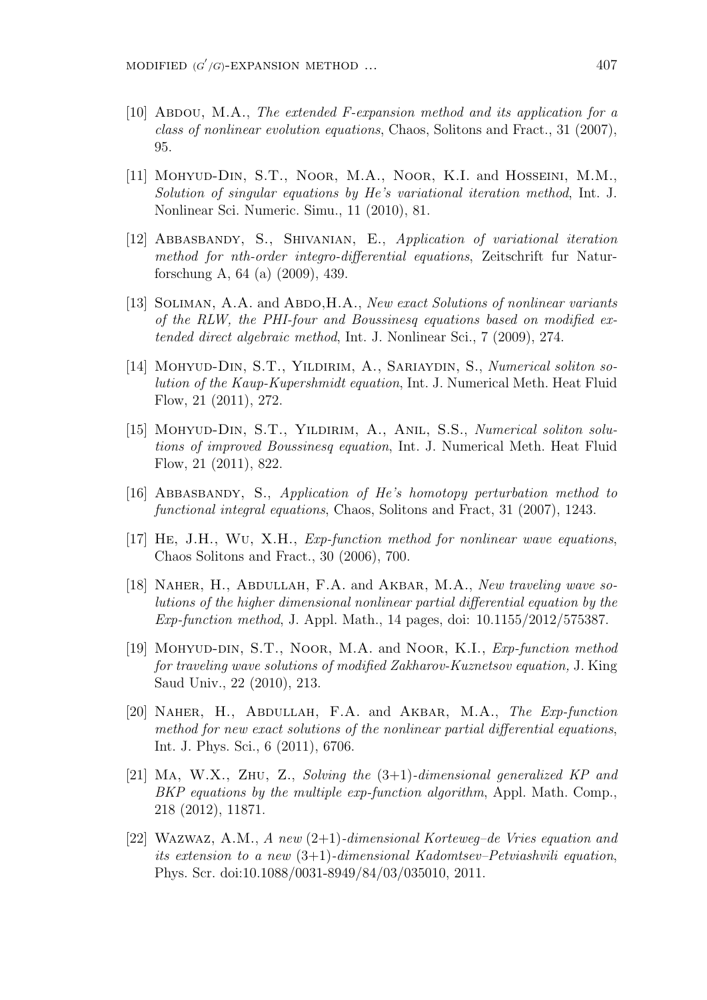- [10] Abdou, M.A., *The extended F-expansion method and its application for a class of nonlinear evolution equations*, Chaos, Solitons and Fract., 31 (2007), 95.
- [11] Mohyud-Din, S.T., Noor, M.A., Noor, K.I. and Hosseini, M.M., *Solution of singular equations by He's variational iteration method*, Int. J. Nonlinear Sci. Numeric. Simu., 11 (2010), 81.
- [12] Abbasbandy, S., Shivanian, E., *Application of variational iteration method for nth-order integro-differential equations*, Zeitschrift fur Naturforschung A, 64 (a) (2009), 439.
- [13] SOLIMAN, A.A. and ABDO, H.A., *New exact Solutions of nonlinear variants of the RLW, the PHI-four and Boussinesq equations based on modified extended direct algebraic method*, Int. J. Nonlinear Sci., 7 (2009), 274.
- [14] Mohyud-Din, S.T., Yildirim, A., Sariaydin, S., *Numerical soliton solution of the Kaup-Kupershmidt equation*, Int. J. Numerical Meth. Heat Fluid Flow, 21 (2011), 272.
- [15] Mohyud-Din, S.T., Yildirim, A., Anil, S.S., *Numerical soliton solutions of improved Boussinesq equation*, Int. J. Numerical Meth. Heat Fluid Flow, 21 (2011), 822.
- [16] Abbasbandy, S., *Application of He's homotopy perturbation method to functional integral equations*, Chaos, Solitons and Fract, 31 (2007), 1243.
- [17] He, J.H., Wu, X.H., *Exp-function method for nonlinear wave equations*, Chaos Solitons and Fract., 30 (2006), 700.
- [18] Naher, H., Abdullah, F.A. and Akbar, M.A., *New traveling wave solutions of the higher dimensional nonlinear partial differential equation by the Exp-function method*, J. Appl. Math., 14 pages, doi: 10.1155/2012/575387.
- [19] Mohyud-din, S.T., Noor, M.A. and Noor, K.I., *Exp-function method for traveling wave solutions of modified Zakharov-Kuznetsov equation,* J. King Saud Univ., 22 (2010), 213.
- [20] Naher, H., Abdullah, F.A. and Akbar, M.A., *The Exp-function method for new exact solutions of the nonlinear partial differential equations*, Int. J. Phys. Sci., 6 (2011), 6706.
- [21] Ma, W.X., Zhu, Z., *Solving the* (3+1)*-dimensional generalized KP and BKP equations by the multiple exp-function algorithm*, Appl. Math. Comp., 218 (2012), 11871.
- [22] Wazwaz, A.M., *A new* (2+1)*-dimensional Korteweg–de Vries equation and its extension to a new* (3+1)*-dimensional Kadomtsev–Petviashvili equation*, Phys. Scr. doi:10.1088/0031-8949/84/03/035010, 2011.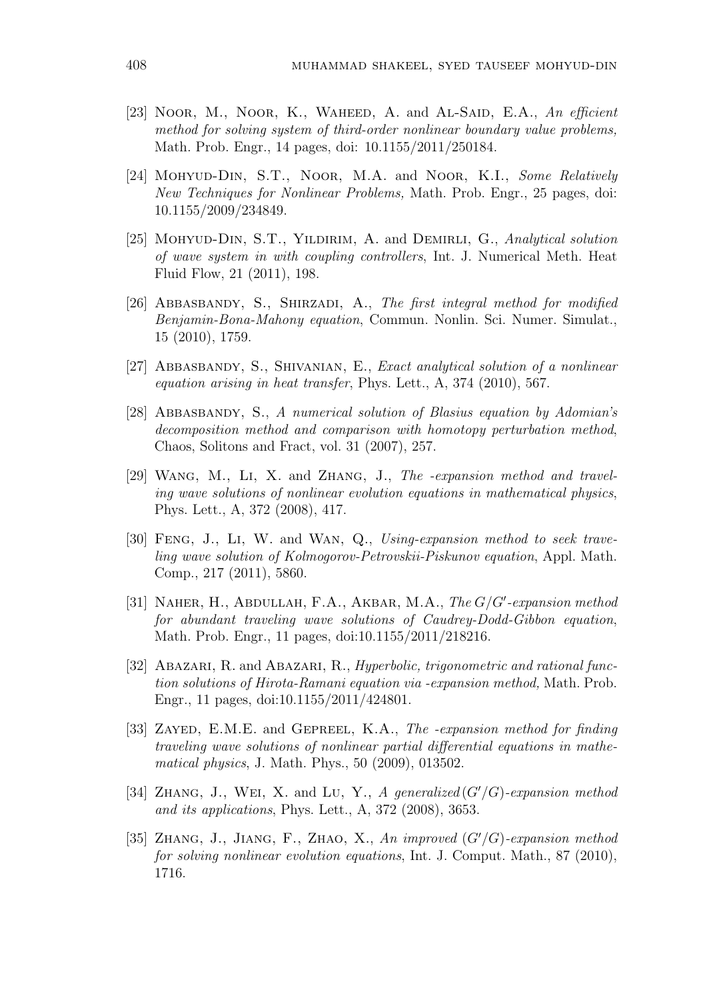- [23] Noor, M., Noor, K., WAHEED, A. and AL-SAID, E.A., An efficient *method for solving system of third-order nonlinear boundary value problems,* Math. Prob. Engr., 14 pages, doi: 10.1155/2011/250184.
- [24] Mohyud-Din, S.T., Noor, M.A. and Noor, K.I., *Some Relatively New Techniques for Nonlinear Problems,* Math. Prob. Engr., 25 pages, doi: 10.1155/2009/234849.
- [25] Mohyud-Din, S.T., Yildirim, A. and Demirli, G., *Analytical solution of wave system in with coupling controllers*, Int. J. Numerical Meth. Heat Fluid Flow, 21 (2011), 198.
- [26] Abbasbandy, S., Shirzadi, A., *The first integral method for modified Benjamin-Bona-Mahony equation*, Commun. Nonlin. Sci. Numer. Simulat., 15 (2010), 1759.
- [27] Abbasbandy, S., Shivanian, E., *Exact analytical solution of a nonlinear equation arising in heat transfer*, Phys. Lett., A, 374 (2010), 567.
- [28] Abbasbandy, S., *A numerical solution of Blasius equation by Adomian's decomposition method and comparison with homotopy perturbation method*, Chaos, Solitons and Fract, vol. 31 (2007), 257.
- [29] Wang, M., Li, X. and Zhang, J., *The -expansion method and traveling wave solutions of nonlinear evolution equations in mathematical physics*, Phys. Lett., A, 372 (2008), 417.
- [30] Feng, J., Li, W. and Wan, Q., *Using-expansion method to seek traveling wave solution of Kolmogorov-Petrovskii-Piskunov equation*, Appl. Math. Comp., 217 (2011), 5860.
- [31] Naher, H., Abdullah, F.A., Akbar, M.A., *The G/G′ -expansion method for abundant traveling wave solutions of Caudrey-Dodd-Gibbon equation*, Math. Prob. Engr., 11 pages, doi:10.1155/2011/218216.
- [32] ABAZARI, R. and ABAZARI, R., *Hyperbolic, trigonometric and rational function solutions of Hirota-Ramani equation via -expansion method,* Math. Prob. Engr., 11 pages, doi:10.1155/2011/424801.
- [33] Zayed, E.M.E. and Gepreel, K.A., *The -expansion method for finding traveling wave solutions of nonlinear partial differential equations in mathematical physics*, J. Math. Phys., 50 (2009), 013502.
- [34] Zhang, J., Wei, X. and Lu, Y., *A generalized* (*G′/G*)*-expansion method and its applications*, Phys. Lett., A, 372 (2008), 3653.
- [35] Zhang, J., Jiang, F., Zhao, X., *An improved* (*G′/G*)*-expansion method for solving nonlinear evolution equations*, Int. J. Comput. Math., 87 (2010), 1716.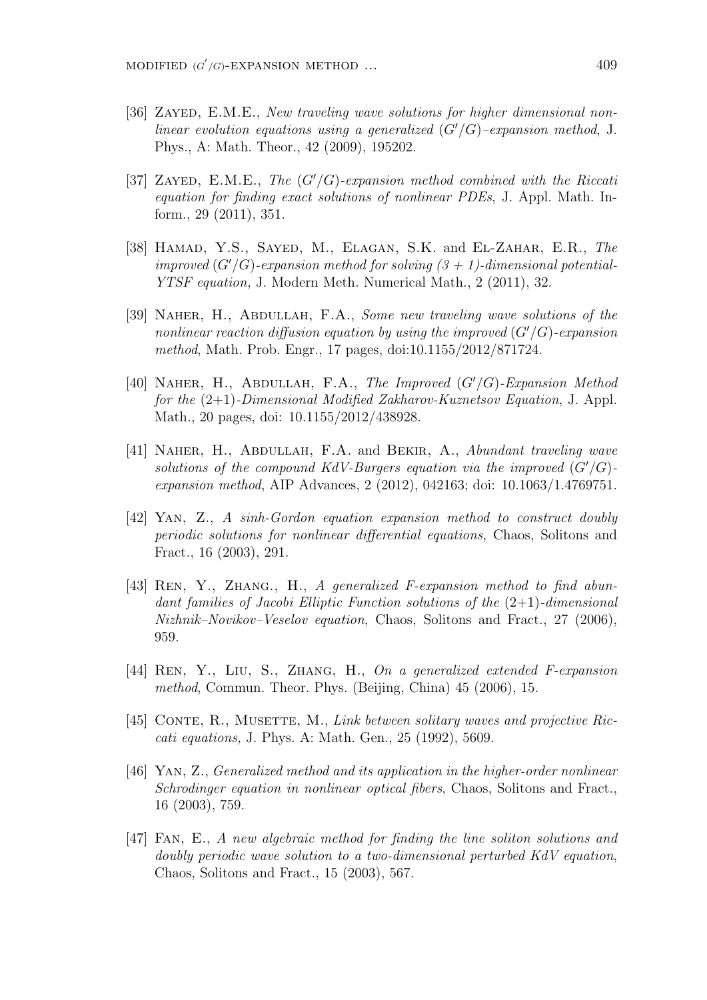- [36] ZAYED, E.M.E., *New traveling wave solutions for higher dimensional nonlinear evolution equations using a generalized* (*G′/G*)*–expansion method*, J. Phys., A: Math. Theor., 42 (2009), 195202.
- [37] Zayed, E.M.E., *The* (*G′/G*)*-expansion method combined with the Riccati equation for finding exact solutions of nonlinear PDEs*, J. Appl. Math. Inform., 29 (2011), 351.
- [38] Hamad, Y.S., Sayed, M., Elagan, S.K. and El-Zahar, E.R., *The improved*  $(G'/G)$ -expansion method for solving  $(3 + 1)$ -dimensional potential-*YTSF equation,* J. Modern Meth. Numerical Math., 2 (2011), 32.
- [39] Naher, H., Abdullah, F.A., *Some new traveling wave solutions of the nonlinear reaction diffusion equation by using the improved* (*G′/G*)*-expansion method*, Math. Prob. Engr., 17 pages, doi:10.1155/2012/871724.
- [40] Naher, H., Abdullah, F.A., *The Improved* (*G′/G*)*-Expansion Method for the* (2+1)*-Dimensional Modified Zakharov-Kuznetsov Equation*, J. Appl. Math., 20 pages, doi: 10.1155/2012/438928.
- [41] Naher, H., Abdullah, F.A. and Bekir, A., *Abundant traveling wave solutions of the compound KdV-Burgers equation via the improved*  $(G'/G)$ *expansion method*, AIP Advances, 2 (2012), 042163; doi: 10.1063/1.4769751.
- [42] Yan, Z., *A sinh-Gordon equation expansion method to construct doubly periodic solutions for nonlinear differential equations*, Chaos, Solitons and Fract., 16 (2003), 291.
- [43] REN, Y., ZHANG., H., *A generalized F-expansion method to find abundant families of Jacobi Elliptic Function solutions of the* (2+1)*-dimensional Nizhnik–Novikov–Veselov equation*, Chaos, Solitons and Fract., 27 (2006), 959.
- [44] Ren, Y., Liu, S., Zhang, H., *On a generalized extended F-expansion method*, Commun. Theor. Phys. (Beijing, China) 45 (2006), 15.
- [45] Conte, R., Musette, M., *Link between solitary waves and projective Riccati equations,* J. Phys. A: Math. Gen., 25 (1992), 5609.
- [46] Yan, Z., *Generalized method and its application in the higher-order nonlinear Schrodinger equation in nonlinear optical fibers*, Chaos, Solitons and Fract., 16 (2003), 759.
- [47] Fan, E., *A new algebraic method for finding the line soliton solutions and doubly periodic wave solution to a two-dimensional perturbed KdV equation*, Chaos, Solitons and Fract., 15 (2003), 567.